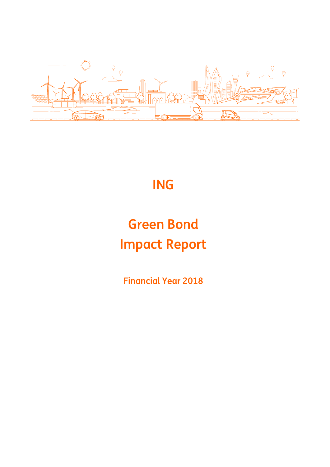

# **ING**

# **Green Bond Impact Report**

**Financial Year 2018**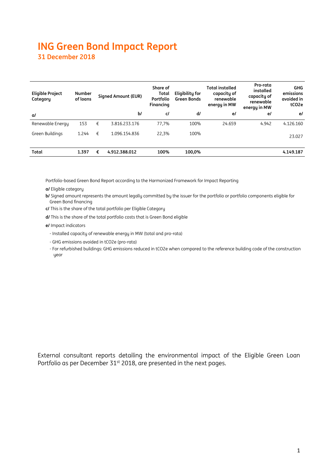## **ING Green Bond Impact Report 31 December 2018**

| <b>Eligible Project</b><br>Category | <b>Number</b><br>of loans |   | Signed Amount (EUR) | Share of<br>Total<br>Portfolio<br>Financing | Eligibility for<br><b>Green Bonds</b> | <b>Total installed</b><br>capacity of<br>renewable<br>energy in MW | Pro-rata<br>installed<br>capacity of<br>renewable<br>energy in MW | <b>GHG</b><br>emissions<br>avoided in<br>tCO <sub>2</sub> e |
|-------------------------------------|---------------------------|---|---------------------|---------------------------------------------|---------------------------------------|--------------------------------------------------------------------|-------------------------------------------------------------------|-------------------------------------------------------------|
| a/                                  |                           |   | b/                  | c/                                          | d/                                    | e/                                                                 | e/                                                                | e/                                                          |
| Renewable Energy                    | 153                       | € | 3.816.233.176       | 77,7%                                       | 100%                                  | 24.659                                                             | 4.942                                                             | 4.126.160                                                   |
| Green Buildings                     | 1.244                     | € | 1.096.154.836       | 22,3%                                       | 100%                                  |                                                                    |                                                                   | 23.027                                                      |
| Total                               | 1.397                     | € | 4.912.388.012       | 100%                                        | 100,0%                                |                                                                    |                                                                   | 4.149.187                                                   |

Portfolio-based Green Bond Report according to the Harmonized Framework for Impact Reporting

**a/** Eligible category

**b/** Signed amount represents the amount legally committed by the issuer for the portfolio or portfolio components eligible for Green Bond financing

**c/** This is the share of the total portfolio per Eligible Category

**d/** This is the share of the total portfolio costs that is Green Bond eligible

**e/** Impact indicators

- Installed capacity of renewable energy in MW (total and pro-rata)

- GHG emissions avoided in tCO2e (pro-rata)

- For refurbished buildings: GHG emissions reduced in tCO2e when compared to the reference building code of the construction year

External consultant reports detailing the environmental impact of the Eligible Green Loan Portfolio as per December 31<sup>st</sup> 2018, are presented in the next pages.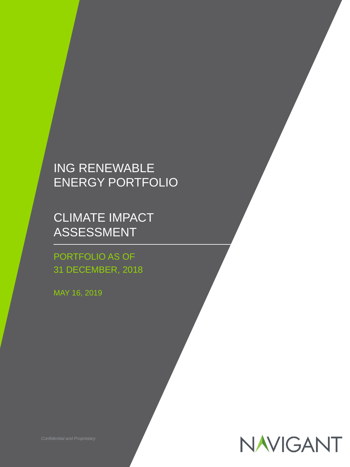## ING RENEWABLE ENERGY PORTFOLIO

CLIMATE IMPACT ASSESSMENT

## PORTFOLIO AS OF 31 DECEMBER, 2018

MAY 16, 2019



*Confidential and Proprietary*<br> **Confidential and Proprietary**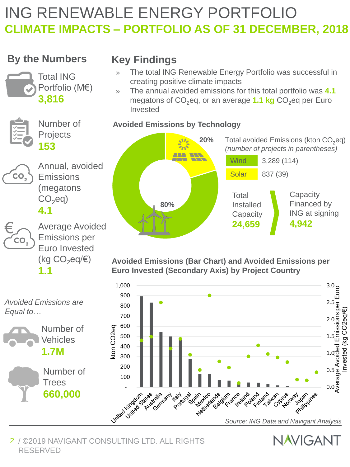# ING RENEWABLE ENERGY PORTFOLIO **CLIMATE IMPACTS – PORTFOLIO AS OF 31 DECEMBER, 2018**

## **By the Numbers Key Findings**





Number of Projects **153**



€

CO,

Annual, avoided **Emissions** (megatons  $CO<sub>2</sub>eq$ )

**4.1**

Average Avoided Emissions per Euro Invested (kg  $CO_2$ eq/ $\varepsilon$ ) **1.1**







- » The total ING Renewable Energy Portfolio was successful in creating positive climate impacts
- » The annual avoided emissions for this total portfolio was **4.1**  megatons of CO<sub>2</sub>eq, or an average **1.1 kg** CO<sub>2</sub>eq per Euro Invested

## **Avoided Emissions by Technology**



**Avoided Emissions (Bar Chart) and Avoided Emissions per Euro Invested (Secondary Axis) by Project Country**



**NAVIGANT** 

#### 2 / ©2019 NAVIGANT CONSULTING LTD. ALL RIGHTS RESERVED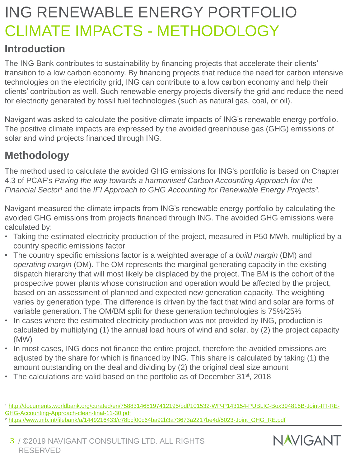# ING RENEWABLE ENERGY PORTFOLIO CLIMATE IMPACTS - METHODOLOGY

## **Introduction**

The ING Bank contributes to sustainability by financing projects that accelerate their clients' transition to a low carbon economy. By financing projects that reduce the need for carbon intensive technologies on the electricity grid, ING can contribute to a low carbon economy and help their clients' contribution as well. Such renewable energy projects diversify the grid and reduce the need for electricity generated by fossil fuel technologies (such as natural gas, coal, or oil).

Navigant was asked to calculate the positive climate impacts of ING's renewable energy portfolio. The positive climate impacts are expressed by the avoided greenhouse gas (GHG) emissions of solar and wind projects financed through ING.

## **Methodology**

The method used to calculate the avoided GHG emissions for ING's portfolio is based on Chapter 4.3 of PCAF's *Paving the way towards a harmonised Carbon Accounting Approach for the Financial Sector<sup>1</sup> and the IFI Approach to GHG Accounting for Renewable Energy Projects<sup>2</sup>.* 

Navigant measured the climate impacts from ING's renewable energy portfolio by calculating the avoided GHG emissions from projects financed through ING. The avoided GHG emissions were calculated by:

- Taking the estimated electricity production of the project, measured in P50 MWh, multiplied by a country specific emissions factor
- The country specific emissions factor is a weighted average of a *build margin* (BM) and *operating margin* (OM). The OM represents the marginal generating capacity in the existing dispatch hierarchy that will most likely be displaced by the project. The BM is the cohort of the prospective power plants whose construction and operation would be affected by the project, based on an assessment of planned and expected new generation capacity. The weighting varies by generation type. The difference is driven by the fact that wind and solar are forms of variable generation. The OM/BM split for these generation technologies is 75%/25%
- In cases where the estimated electricity production was not provided by ING, production is calculated by multiplying (1) the annual load hours of wind and solar, by (2) the project capacity (MW)
- In most cases, ING does not finance the entire project, therefore the avoided emissions are adjusted by the share for which is financed by ING. This share is calculated by taking (1) the amount outstanding on the deal and dividing by (2) the original deal size amount
- The calculations are valid based on the portfolio as of December 31<sup>st</sup>, 2018

[¹ http://documents.worldbank.org/curated/en/758831468197412195/pdf/101532-WP-P143154-PUBLIC-Box394816B-Joint-IFI-RE-](http://documents.worldbank.org/curated/en/758831468197412195/pdf/101532-WP-P143154-PUBLIC-Box394816B-Joint-IFI-RE-GHG-Accounting-Approach-clean-final-11-30.pdf)GHG-Accounting-Approach-clean-final-11-30.pdf

² [https://www.nib.int/filebank/a/1449216433/c78bcf00c64ba92b3a73673a2217be4d/5023-Joint\\_GHG\\_RE.pdf](https://www.nib.int/filebank/a/1449216433/c78bcf00c64ba92b3a73673a2217be4d/5023-Joint_GHG_RE.pdf)

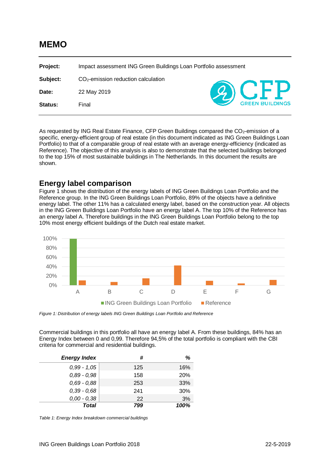## **MEMO**

**Project:** Impact assessment ING Green Buildings Loan Portfolio assessment **Subject:** CO2-emission reduction calculation **Date:** 22 May 2019 **Status:** Final

As requested by ING Real Estate Finance, CFP Green Buildings compared the CO<sub>2</sub>-emission of a specific, energy-efficient group of real estate (in this document indicated as ING Green Buildings Loan Portfolio) to that of a comparable group of real estate with an average energy-efficiency (indicated as Reference). The objective of this analysis is also to demonstrate that the selected buildings belonged to the top 15% of most sustainable buildings in The Netherlands. In this document the results are shown.

#### **Energy label comparison**

Figure 1 shows the distribution of the energy labels of ING Green Buildings Loan Portfolio and the Reference group. In the ING Green Buildings Loan Portfolio, 89% of the objects have a definitive energy label. The other 11% has a calculated energy label, based on the construction year. All objects in the ING Green Buildings Loan Portfolio have an energy label A. The top 10% of the Reference has an energy label A. Therefore buildings in the ING Green Buildings Loan Portfolio belong to the top 10% most energy efficient buildings of the Dutch real estate market.



*Figure 1: Distribution of energy labels ING Green Buildings Loan Portfolio and Reference*

Commercial buildings in this portfolio all have an energy label A. From these buildings, 84% has an Energy Index between 0 and 0,99. Therefore 94,5% of the total portfolio is compliant with the CBI criteria for commercial and residential buildings.

| <b>Energy Index</b> | #   | %    |
|---------------------|-----|------|
| $0,99 - 1,05$       | 125 | 16%  |
| $0.89 - 0.98$       | 158 | 20%  |
| $0,69 - 0,88$       | 253 | 33%  |
| $0.39 - 0.68$       | 241 | 30%  |
| $0,00 - 0,38$       | 22  | 3%   |
| <b>Total</b>        | 799 | 100% |

*Table 1: Energy Index breakdown commercial buildings*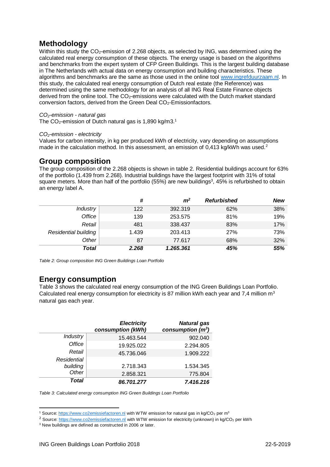## **Methodology**

Within this study the CO<sub>2</sub>-emission of 2.268 objects, as selected by ING, was determined using the calculated real energy consumption of these objects. The energy usage is based on the algorithms and benchmarks from the expert system of CFP Green Buildings. This is the largest building database in The Netherlands with actual data on energy consumption and building characteristics. These algorithms and benchmarks are the same as those used in the online tool [www.ingrefduurzaam.nl.](http://www.ingrefduurzaam.nl/) In this study, the calculated real energy consumption of Dutch real estate (the Reference) was determined using the same methodology for an analysis of all ING Real Estate Finance objects derived from the online tool. The CO<sub>2</sub>-emissions were calculated with the Dutch market standard conversion factors, derived from the Green Deal CO2-Emissionfactors.

#### *CO2-emission - natural gas*

The  $CO_2$ -emission of Dutch natural gas is 1,890 kg/m3.<sup>1</sup>

#### *CO2-emission - electricity*

Values for carbon intensity, in kg per produced kWh of electricity, vary depending on assumptions made in the calculation method. In this assessment, an emission of  $0.413$  kg/kWh was used.<sup>2</sup>

#### **Group composition**

The group composition of the 2.268 objects is shown in table 2. Residential buildings account for 63% of the portfolio (1.439 from 2.268). Industrial buildings have the largest footprint with 31% of total square meters. More than half of the portfolio (55%) are new buildings<sup>3</sup>, 45% is refurbished to obtain an energy label A.

|                      | #     | m <sup>2</sup> | <b>Refurbished</b> | <b>New</b> |
|----------------------|-------|----------------|--------------------|------------|
| <b>Industry</b>      | 122   | 392.319        | 62%                | 38%        |
| Office               | 139   | 253.575        | 81%                | 19%        |
| Retail               | 481   | 338.437        | 83%                | 17%        |
| Residential building | 1.439 | 203.413        | 27%                | 73%        |
| Other                | 87    | 77.617         | 68%                | 32%        |
| Total                | 2.268 | 1.265.361      | 45%                | 55%        |

*Table 2: Group composition ING Green Buildings Loan Portfolio*

#### **Energy consumption**

Table 3 shows the calculated real energy consumption of the ING Green Buildings Loan Portfolio. Calculated real energy consumption for electricity is 87 million kWh each year and 7.4 million  $m<sup>3</sup>$ natural gas each year.

|                 | <b>Electricity</b><br>consumption (kWh) | <b>Natural gas</b><br>consumption $(m^3)$ |
|-----------------|-----------------------------------------|-------------------------------------------|
| <b>Industry</b> | 15.463.544                              | 902.040                                   |
| <b>Office</b>   | 19.925.022                              | 2.294.805                                 |
| Retail          | 45.736.046                              | 1.909.222                                 |
| Residential     |                                         |                                           |
| building        | 2.718.343                               | 1.534.345                                 |
| Other           | 2.858.321                               | 775.804                                   |
| <b>Total</b>    | 86.701.277                              | 7.416.216                                 |

*Table 3: Calculated energy consumption ING Green Buildings Loan Portfolio*

<sup>-</sup><sup>1</sup> Source[: https://www.co2emissiefactoren.nl](https://www.co2emissiefactoren.nl/) with WTW emission for natural gas in kg/CO<sub>2</sub> per m<sup>3</sup>

<sup>&</sup>lt;sup>2</sup> Source: [https://www.co2emissiefactoren.nl](https://www.co2emissiefactoren.nl/) with WTW emission for electricity (unknown) in kg/CO<sub>2</sub> per kWh

<sup>&</sup>lt;sup>3</sup> New buildings are defined as constructed in 2006 or later.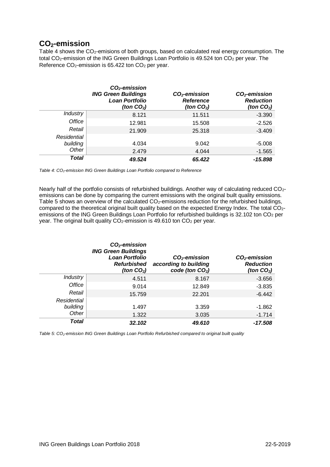## **CO2-emission**

Table 4 shows the CO<sub>2</sub>-emisions of both groups, based on calculated real energy consumption. The total CO<sub>2</sub>-emission of the ING Green Buildings Loan Portfolio is 49.524 ton CO<sub>2</sub> per year. The Reference  $CO<sub>2</sub>$ -emission is 65.422 ton  $CO<sub>2</sub>$  per year.

|                 | $CO2$ -emission<br><b>ING Green Buildings</b><br><b>Loan Portfolio</b><br>(ton $CO2$ ) | $CO2$ -emission<br><b>Reference</b><br>(ton CO $_2$ ) | $CO2$ -emission<br><b>Reduction</b><br>(ton $CO2$ ) |
|-----------------|----------------------------------------------------------------------------------------|-------------------------------------------------------|-----------------------------------------------------|
| <b>Industry</b> | 8.121                                                                                  | 11.511                                                | $-3.390$                                            |
| Office          | 12.981                                                                                 | 15.508                                                | $-2.526$                                            |
| Retail          | 21.909                                                                                 | 25.318                                                | $-3.409$                                            |
| Residential     |                                                                                        |                                                       |                                                     |
| building        | 4.034                                                                                  | 9.042                                                 | $-5.008$                                            |
| Other           | 2.479                                                                                  | 4.044                                                 | $-1.565$                                            |
| Total           | 49.524                                                                                 | 65.422                                                | -15.898                                             |

*Table 4: CO2-emission ING Green Buildings Loan Portfolio compared to Reference*

Nearly half of the portfolio consists of refurbished buildings. Another way of calculating reduced CO<sub>2</sub>emissions can be done by comparing the current emissions with the original built quality emissions. Table 5 shows an overview of the calculated CO<sub>2</sub>-emissions reduction for the refurbished buildings, compared to the theoretical original built quality based on the expected Energy Index. The total CO<sub>2</sub>emissions of the ING Green Buildings Loan Portfolio for refurbished buildings is 32.102 ton CO<sub>2</sub> per year. The original built quality  $CO<sub>2</sub>$ -emission is 49.610 ton  $CO<sub>2</sub>$  per year.

|                 | $CO2$ -emission<br><b>ING Green Buildings</b><br><b>Loan Portfolio</b><br><b>Refurbished</b><br>(ton $CO2$ ) | $CO2$ -emission<br>according to building<br>code (ton $CO2$ ) | $CO2$ -emission<br><b>Reduction</b><br>(ton $CO2$ ) |
|-----------------|--------------------------------------------------------------------------------------------------------------|---------------------------------------------------------------|-----------------------------------------------------|
| <b>Industry</b> | 4.511                                                                                                        | 8.167                                                         | $-3.656$                                            |
| Office          | 9.014                                                                                                        | 12.849                                                        | $-3.835$                                            |
| Retail          | 15.759                                                                                                       | 22.201                                                        | $-6.442$                                            |
| Residential     |                                                                                                              |                                                               |                                                     |
| building        | 1.497                                                                                                        | 3.359                                                         | -1.862                                              |
| Other           | 1.322                                                                                                        | 3.035                                                         | $-1.714$                                            |
| Total           | 32.102                                                                                                       | 49.610                                                        | -17.508                                             |

*Table 5: CO2-emission ING Green Buildings Loan Portfolio Refurbished compared to original built quality*